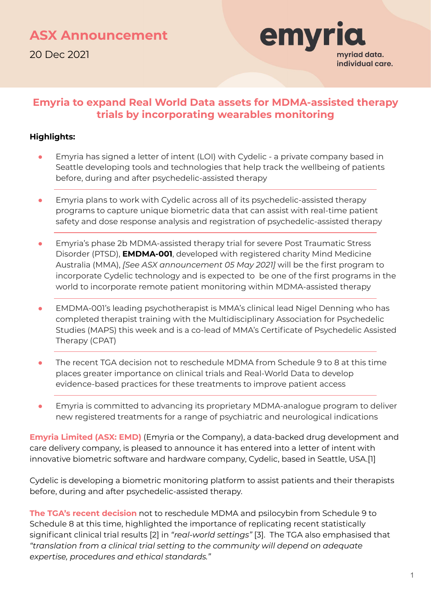

## **Emyria to expand Real World Data assets for MDMA-assisted therapy trials by incorporating wearables monitoring**

#### **Highlights:**

- Emyria has signed a letter of intent (LOI) with Cydelic a private company based in Seattle developing tools and technologies that help track the wellbeing of patients before, during and after psychedelic-assisted therapy
- Emyria plans to work with Cydelic across all of its psychedelic-assisted therapy programs to capture unique biometric data that can assist with real-time patient safety and dose response analysis and registration of psychedelic-assisted therapy
- Emyria's phase 2b MDMA-assisted therapy trial for severe Post Traumatic Stress Disorder (PTSD), **EMDMA-001**, developed with registered charity Mind Medicine Australia (MMA), *[See ASX announcement 05 May 2021]* will be the first program to incorporate Cydelic technology and is expected to be one of the first programs in the world to incorporate remote patient monitoring within MDMA-assisted therapy
- EMDMA-001's leading psychotherapist is MMA's clinical lead Nigel Denning who has completed therapist training with the Multidisciplinary Association for Psychedelic Studies (MAPS) this week and is a co-lead of MMA's Certificate of Psychedelic Assisted Therapy (CPAT)
- The recent TGA decision not to reschedule MDMA from Schedule 9 to 8 at this time places greater importance on clinical trials and Real-World Data to develop evidence-based practices for these treatments to improve patient access
- Emyria is committed to advancing its proprietary MDMA-analogue program to deliver new registered treatments for a range of psychiatric and neurological indications

**Emyria Limited (ASX: EMD)** (Emyria or the Company), a data-backed drug development and care delivery company, is pleased to announce it has entered into a letter of intent with innovative biometric software and hardware company, Cydelic, based in Seattle, USA.[1]

Cydelic is developing a biometric monitoring platform to assist patients and their therapists before, during and after psychedelic-assisted therapy.

**The TGA's recent decision** not to reschedule MDMA and psilocybin from Schedule 9 to Schedule 8 at this time, highlighted the importance of replicating recent statistically significant clinical trial results [2] in *"real-world settings"* [3]. The TGA also emphasised that *"translation from a clinical trial setting to the community will depend on adequate expertise, procedures and ethical standards."*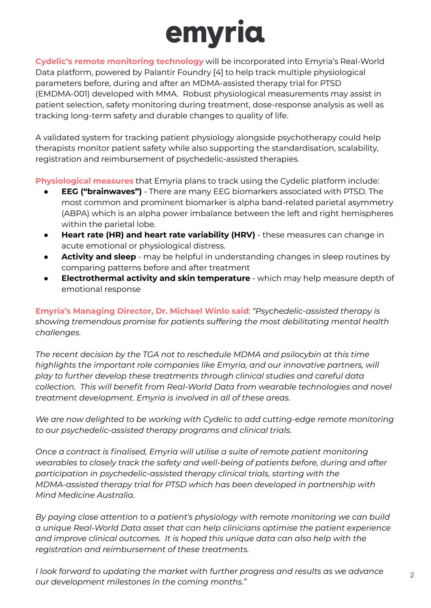

**Cydelic's remote monitoring technology** will be incorporated into Emyria's Real-World Data platform, powered by Palantir Foundry [4] to help track multiple physiological parameters before, during and after an MDMA-assisted therapy trial for PTSD (EMDMA-001) developed with MMA. Robust physiological measurements may assist in patient selection, safety monitoring during treatment, dose-response analysis as well as tracking long-term safety and durable changes to quality of life.

A validated system for tracking patient physiology alongside psychotherapy could help therapists monitor patient safety while also supporting the standardisation, scalability, registration and reimbursement of psychedelic-assisted therapies.

**Physiological measures** that Emyria plans to track using the Cydelic platform include:

- **EEG ("brainwaves")** There are many EEG biomarkers associated with PTSD. The most common and prominent biomarker is alpha band-related parietal asymmetry (ABPA) which is an alpha power imbalance between the left and right hemispheres within the parietal lobe.
- **Heart rate (HR) and heart rate variability (HRV)** these measures can change in acute emotional or physiological distress.
- Activity and sleep may be helpful in understanding changes in sleep routines by comparing patterns before and after treatment
- **Electrothermal activity and skin temperature** which may help measure depth of emotional response

**Emyria's Managing Director, Dr. Michael Winlo said**: *"Psychedelic-assisted therapy is showing tremendous promise for patients suffering the most debilitating mental health challenges.*

*The recent decision by the TGA not to reschedule MDMA and psilocybin at this time highlights the important role companies like Emyria, and our innovative partners, will play to further develop these treatments through clinical studies and careful data collection. This will benefit from Real-World Data from wearable technologies and novel treatment development. Emyria is involved in all of these areas.*

*We are now delighted to be working with Cydelic to add cutting-edge remote monitoring to our psychedelic-assisted therapy programs and clinical trials.*

*Once a contract is finalised, Emyria will utilise a suite of remote patient monitoring wearables to closely track the safety and well-being of patients before, during and after participation in psychedelic-assisted therapy clinical trials, starting with the MDMA-assisted therapy trial for PTSD which has been developed in partnership with Mind Medicine Australia.*

*By paying close attention to a patient's physiology with remote monitoring we can build a unique Real-World Data asset that can help clinicians optimise the patient experience and improve clinical outcomes. It is hoped this unique data can also help with the registration and reimbursement of these treatments.*

*I look forward to updating the market with further progress and results as we advance our development milestones in the coming months."*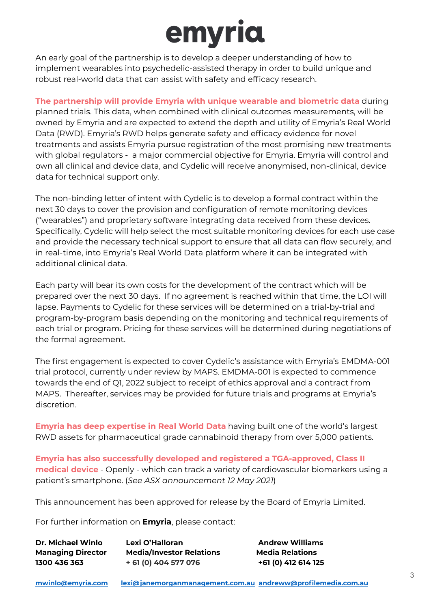## emyria

An early goal of the partnership is to develop a deeper understanding of how to implement wearables into psychedelic-assisted therapy in order to build unique and robust real-world data that can assist with safety and efficacy research.

**The partnership will provide Emyria with unique wearable and biometric data** during planned trials. This data, when combined with clinical outcomes measurements, will be owned by Emyria and are expected to extend the depth and utility of Emyria's Real World Data (RWD). Emyria's RWD helps generate safety and efficacy evidence for novel treatments and assists Emyria pursue registration of the most promising new treatments with global regulators - a major commercial objective for Emyria. Emyria will control and own all clinical and device data, and Cydelic will receive anonymised, non-clinical, device data for technical support only.

The non-binding letter of intent with Cydelic is to develop a formal contract within the next 30 days to cover the provision and configuration of remote monitoring devices ("wearables") and proprietary software integrating data received from these devices. Specifically, Cydelic will help select the most suitable monitoring devices for each use case and provide the necessary technical support to ensure that all data can flow securely, and in real-time, into Emyria's Real World Data platform where it can be integrated with additional clinical data.

Each party will bear its own costs for the development of the contract which will be prepared over the next 30 days. If no agreement is reached within that time, the LOI will lapse. Payments to Cydelic for these services will be determined on a trial-by-trial and program-by-program basis depending on the monitoring and technical requirements of each trial or program. Pricing for these services will be determined during negotiations of the formal agreement.

The first engagement is expected to cover Cydelic's assistance with Emyria's EMDMA-001 trial protocol, currently under review by MAPS. EMDMA-001 is expected to commence towards the end of Q1, 2022 subject to receipt of ethics approval and a contract from MAPS. Thereafter, services may be provided for future trials and programs at Emyria's discretion.

**Emyria has deep expertise in Real World Data** having built one of the world's largest RWD assets for pharmaceutical grade cannabinoid therapy from over 5,000 patients.

**Emyria has also successfully developed and registered a TGA-approved, Class II medical device** - Openly - which can track a variety of cardiovascular biomarkers using a patient's smartphone. (*See ASX announcement 12 May 2021*)

This announcement has been approved for release by the Board of Emyria Limited.

For further information on **Emyria**, please contact:

| <b>Dr. Michael Winlo</b><br><b>Managing Director</b><br>1300 436 363 | Lexi O'Halloran<br><b>Media/Investor Relations</b><br>+ 61 (0) 404 577 076 | Aı<br>M<br>+6 |
|----------------------------------------------------------------------|----------------------------------------------------------------------------|---------------|
|----------------------------------------------------------------------|----------------------------------------------------------------------------|---------------|

**Dr. Michael Winlo Lexi O'Halloran Andrew Williams Managing Director Media/Investor Relations Media Relations 1300 436 363 + 61 (0) 404 577 076 +61 (0) 412 614 125**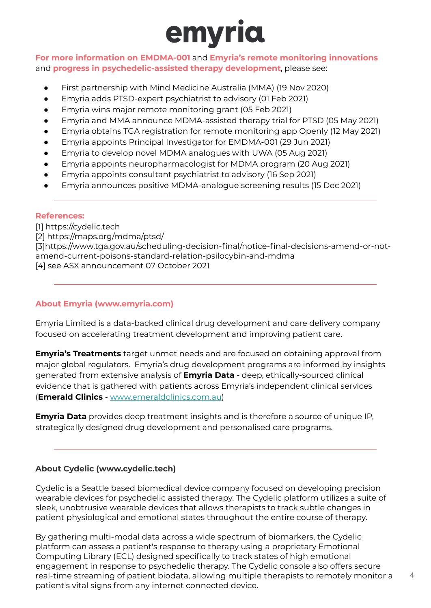

**For more information on EMDMA-001** and **Emyria's remote monitoring innovations**  and **progress in psychedelic-assisted therapy development**, please see:

- First partnership with Mind Medicine Australia (MMA) (19 Nov 2020)
- Emyria adds PTSD-expert psychiatrist to advisory (01 Feb 2021)
- Emyria wins major remote monitoring grant (05 Feb 2021)
- Emyria and MMA announce MDMA-assisted therapy trial for PTSD (05 May 2021)
- Emyria obtains TGA registration for remote monitoring app Openly (12 May 2021)
- Emyria appoints Principal Investigator for EMDMA-001 (29 Jun 2021)
- Emyria to develop novel MDMA analogues with UWA (05 Aug 2021)
- Emyria appoints neuropharmacologist for MDMA program (20 Aug 2021)
- Emyria appoints consultant psychiatrist to advisory (16 Sep 2021)
- Emyria announces positive MDMA-analogue screening results (15 Dec 2021)

#### **References:**

[1] https://cydelic.tech [2] https://maps.org/mdma/ptsd/ [3]https://www.tga.gov.au/scheduling-decision-final/notice-final-decisions-amend-or-notamend-current-poisons-standard-relation-psilocybin-and-mdma [4] see ASX announcement 07 October 2021

#### **About Emyria (www.emyria.com)**

Emyria Limited is a data-backed clinical drug development and care delivery company focused on accelerating treatment development and improving patient care.

**Emyria's Treatments** target unmet needs and are focused on obtaining approval from major global regulators. Emyria's drug development programs are informed by insights generated from extensive analysis of **Emyria Data** - deep, ethically-sourced clinical evidence that is gathered with patients across Emyria's independent clinical services (**Emerald Clinics** - [www.emeraldclinics.com.au](http://www.emeraldclinics.com.au/))

**Emyria Data** provides deep treatment insights and is therefore a source of unique IP, strategically designed drug development and personalised care programs.

#### **About Cydelic (www.cydelic.tech)**

Cydelic is a Seattle based biomedical device company focused on developing precision wearable devices for psychedelic assisted therapy. The Cydelic platform utilizes a suite of sleek, unobtrusive wearable devices that allows therapists to track subtle changes in patient physiological and emotional states throughout the entire course of therapy.

By gathering multi-modal data across a wide spectrum of biomarkers, the Cydelic platform can assess a patient's response to therapy using a proprietary Emotional Computing Library (ECL) designed specifically to track states of high emotional engagement in response to psychedelic therapy. The Cydelic console also offers secure real-time streaming of patient biodata, allowing multiple therapists to remotely monitor a patient's vital signs from any internet connected device.